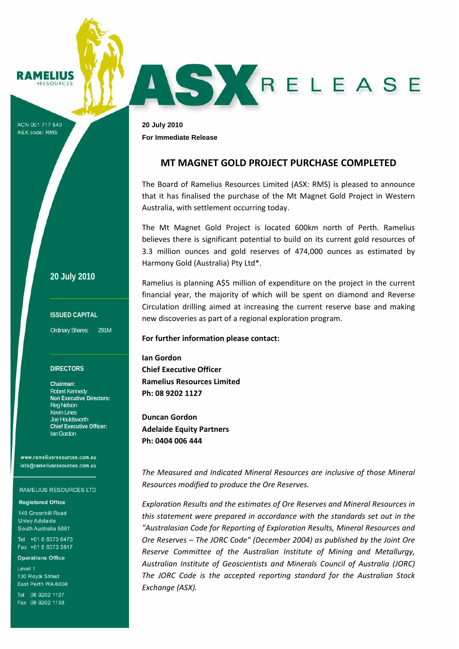#### **RAMELIUS ESOUPCES**

ACN 001 717 540 **ASX code: RMS** 

**20 July 2010 For Immediate Release** 

# **MT MAGNET GOLD PROJECT PURCHASE COMPLETED**

AS KRELEASE

The Board of Ramelius Resources Limited (ASX: RMS) is pleased to announce that it has finalised the purchase of the Mt Magnet Gold Project in Western Australia, with settlement occurring today.

The Mt Magnet Gold Project is located 600km north of Perth. Ramelius believes there is significant potential to build on its current gold resources of 3.3 million ounces and gold reserves of 474,000 ounces as estimated by Harmony Gold (Australia) Pty Ltd\*.

Ramelius is planning A\$5 million of expenditure on the project in the current financial year, the majority of which will be spent on diamond and Reverse Circulation drilling aimed at increasing the current reserve base and making new discoveries as part of a regional exploration program.

## **For further information please contact:**

**Ian Gordon Chief Executive Officer Ramelius Resources Limited Ph: 08 9202 1127**

**Duncan Gordon Adelaide Equity Partners Ph: 0404 006 444**

*The Measured and Indicated Mineral Resources are inclusive of those Mineral Resources modified to produce the Ore Reserves.*

*Exploration Results and the estimates of Ore Reserves and Mineral Resources in this statement were prepared in accordance with the standards set out in the "Australasian Code for Reporting of Exploration Results, Mineral Resources and Ore Reserves – The JORC Code" (December 2004) as published by the Joint Ore Reserve Committee of the Australian Institute of Mining and Metallurgy, Australian Institute of Geoscientists and Minerals Council of Australia (JORC) The JORC Code is the accepted reporting standard for the Australian Stock Exchange (ASX).* 

# **20 July 2010**

**ISSUED CAPITAL** 

Ordinary Shares: 291M

### **DIRECTORS**

**Chairman:**  Robert Kennedy **Non Executive Directors:**  Reg Nelson Kevin Lines Joe Houldsworth **Chief Executive Officer:**  Ian Gordon

www.rameliusresources.com.au info@rameliusresources.com.au

#### **RAMELIUS RESOURCES LTD**

### **Registered Office**

140 Greenhill Road **Unley Adelaide** South Australia 5061

Tel +61 8 8373 6473 Fax +61 8 8373 5917

**Operations Office** 

Level 1 130 Royal Street East Perth WA 6004

Tel 08 9202 1127 Fax 08 9202 1138